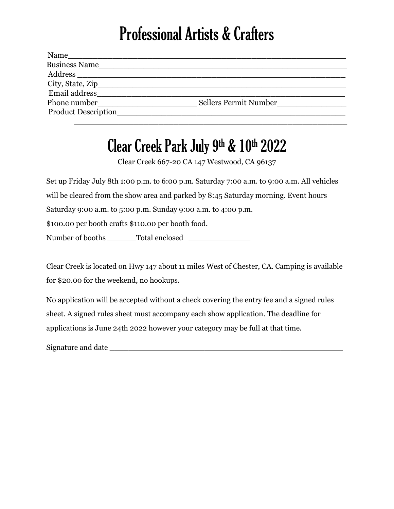## Professional Artists & Crafters

| Name                 |                       |
|----------------------|-----------------------|
| <b>Business Name</b> |                       |
| Address              |                       |
|                      |                       |
| Email address        |                       |
| Phone number         | Sellers Permit Number |
| Product Description  |                       |
|                      |                       |

## Clear Creek Park July 9th & 10th 2022

Clear Creek 667-20 CA 147 Westwood, CA 96137

Set up Friday July 8th 1:00 p.m. to 6:00 p.m. Saturday 7:00 a.m. to 9:00 a.m. All vehicles will be cleared from the show area and parked by 8:45 Saturday morning. Event hours Saturday 9:00 a.m. to 5:00 p.m. Sunday 9:00 a.m. to 4:00 p.m. \$100.00 per booth crafts \$110.00 per booth food. Number of booths \_\_\_\_\_\_Total enclosed \_\_\_\_\_\_\_\_\_\_\_\_\_

Clear Creek is located on Hwy 147 about 11 miles West of Chester, CA. Camping is available for \$20.00 for the weekend, no hookups.

No application will be accepted without a check covering the entry fee and a signed rules sheet. A signed rules sheet must accompany each show application. The deadline for applications is June 24th 2022 however your category may be full at that time.

Signature and date  $\Box$